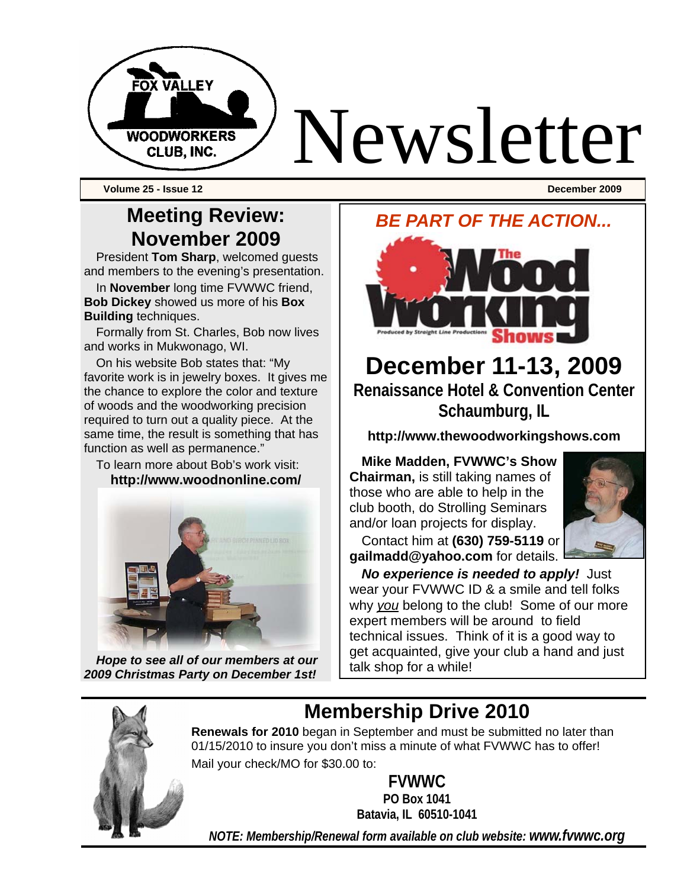

**Volume 25 - Issue 12 December 2009** 

### **Meeting Review: November 2009**

President **Tom Sharp**, welcomed guests and members to the evening's presentation.

In **November** long time FVWWC friend, **Bob Dickey** showed us more of his **Box Building** techniques.

Formally from St. Charles, Bob now lives and works in Mukwonago, WI.

On his website Bob states that: "My favorite work is in jewelry boxes. It gives me the chance to explore the color and texture of woods and the woodworking precision required to turn out a quality piece. At the same time, the result is something that has function as well as permanence."

To learn more about Bob's work visit: **http://www.woodnonline.com/** 



*Hope to see all of our members at our 2009 Christmas Party on December 1st!* 

#### *BE PART OF THE ACTION...*



# **December 11-13, 2009 Renaissance Hotel & Convention Center**

**Schaumburg, IL**

**http://www.thewoodworkingshows.com**

**Mike Madden, FVWWC's Show Chairman,** is still taking names of those who are able to help in the club booth, do Strolling Seminars and/or loan projects for display.



Contact him at **(630) 759-5119** or **gailmadd@yahoo.com** for details.

*No experience is needed to apply!* Just wear your FVWWC ID & a smile and tell folks why *you* belong to the club! Some of our more expert members will be around to field technical issues. Think of it is a good way to get acquainted, give your club a hand and just talk shop for a while!

**Membership Drive 2010** 

**Renewals for 2010** began in September and must be submitted no later than 01/15/2010 to insure you don't miss a minute of what FVWWC has to offer! Mail your check/MO for \$30.00 to:

**FVWWC** 

**PO Box 1041 Batavia, IL 60510-1041** 

*NOTE: Membership/Renewal form available on club website: www.fvwwc.org*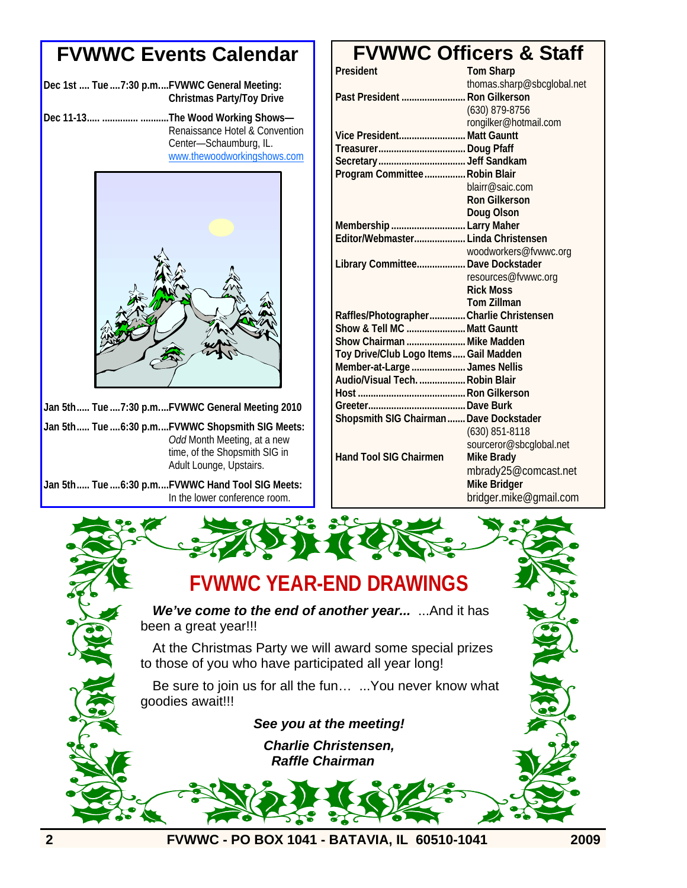#### **FVWWC Events Calendar**

|  | Dec 1st  Tue  7:30 p.mFVWWC General Meeting: |
|--|----------------------------------------------|
|  | Christmas Party/Toy Drive                    |

**Dec 11-13..... .............. ...........The Wood Working Shows—** Renaissance Hotel & Convention Center—Schaumburg, IL. www.thewoodworkingshows.com



**Jan 5th..... Tue ....7:30 p.m....FVWWC General Meeting 2010** 

**Jan 5th..... Tue ....6:30 p.m....FVWWC Shopsmith SIG Meets:**  *Odd* Month Meeting, at a new time, of the Shopsmith SIG in Adult Lounge, Upstairs.

**Jan 5th..... Tue ....6:30 p.m....FVWWC Hand Tool SIG Meets:**  In the lower conference room.

#### **FVWWC Officers & Staff**

| President                                | <b>Tom Sharp</b>           |
|------------------------------------------|----------------------------|
|                                          | thomas.sharp@sbcglobal.net |
| Past President  Ron Gilkerson            |                            |
|                                          | (630) 879-8756             |
|                                          | rongilker@hotmail.com      |
| Vice President Matt Gauntt               |                            |
|                                          |                            |
|                                          |                            |
| Program Committee Robin Blair            |                            |
|                                          | blairr@saic.com            |
|                                          | <b>Ron Gilkerson</b>       |
|                                          | Doug Olson                 |
| Membership  Larry Maher                  |                            |
| Editor/Webmaster Linda Christensen       |                            |
|                                          | woodworkers@fvwwc.org      |
| Library Committee Dave Dockstader        |                            |
|                                          | resources@fvwwc.org        |
|                                          | <b>Rick Moss</b>           |
|                                          | <b>Tom Zillman</b>         |
| Raffles/Photographer Charlie Christensen |                            |
| Show & Tell MC Matt Gauntt               |                            |
| Show Chairman  Mike Madden               |                            |
| Toy Drive/Club Logo Items Gail Madden    |                            |
| Member-at-Large James Nellis             |                            |
| Audio/Visual Tech.  Robin Blair          |                            |
|                                          |                            |
|                                          |                            |
| Shopsmith SIG Chairman  Dave Dockstader  |                            |
|                                          | $(630)$ 851-8118           |
|                                          | sourceror@sbcglobal.net    |
| <b>Hand Tool SIG Chairmen</b>            | <b>Mike Brady</b>          |
|                                          | mbrady25@comcast.net       |
|                                          | <b>Mike Bridger</b>        |
|                                          | bridger.mike@gmail.com     |

## **FVWWC YEAR-END DRAWINGS**

*We've come to the end of another year...* ...And it has been a great year!!!

At the Christmas Party we will award some special prizes to those of you who have participated all year long!

Be sure to join us for all the fun… ...You never know what goodies await!!!

*See you at the meeting!* 

*Charlie Christensen, Raffle Chairman*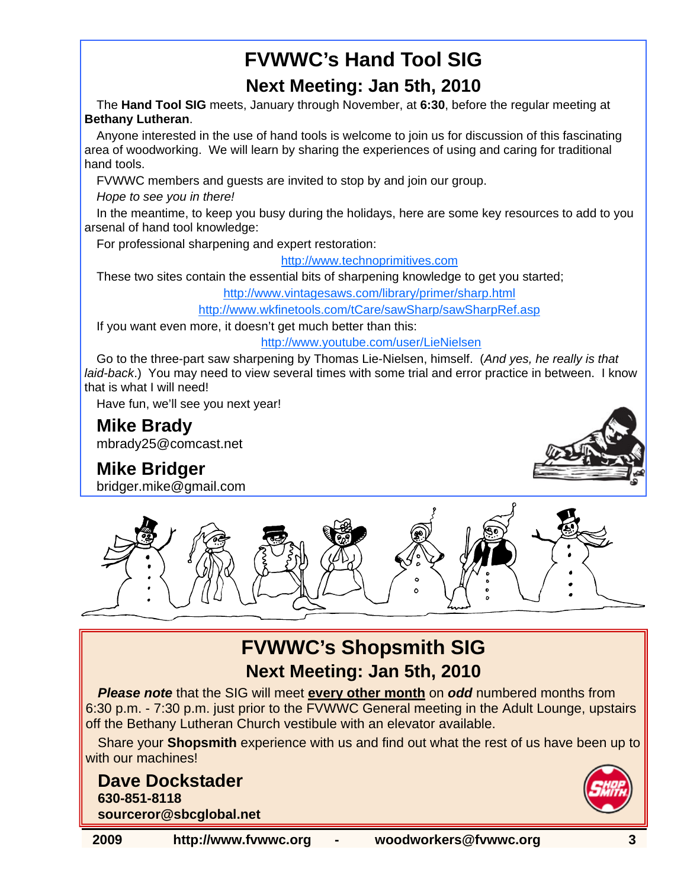# **FVWWC's Hand Tool SIG**

#### **Next Meeting: Jan 5th, 2010**

The **Hand Tool SIG** meets, January through November, at **6:30**, before the regular meeting at **Bethany Lutheran**.

Anyone interested in the use of hand tools is welcome to join us for discussion of this fascinating area of woodworking. We will learn by sharing the experiences of using and caring for traditional hand tools.

FVWWC members and guests are invited to stop by and join our group.

*Hope to see you in there!* 

In the meantime, to keep you busy during the holidays, here are some key resources to add to you arsenal of hand tool knowledge:

For professional sharpening and expert restoration:

http://www.technoprimitives.com

These two sites contain the essential bits of sharpening knowledge to get you started;

http://www.vintagesaws.com/library/primer/sharp.html

http://www.wkfinetools.com/tCare/sawSharp/sawSharpRef.asp

If you want even more, it doesn't get much better than this:

http://www.youtube.com/user/LieNielsen

Go to the three-part saw sharpening by Thomas Lie-Nielsen, himself. (*And yes, he really is that laid-back*.) You may need to view several times with some trial and error practice in between. I know that is what I will need!

Have fun, we'll see you next year!

**Mike Brady**  mbrady25@comcast.net

## **Mike Bridger**

bridger.mike@gmail.com





## **FVWWC's Shopsmith SIG Next Meeting: Jan 5th, 2010**

*Please note* that the SIG will meet **every other month** on *odd* numbered months from 6:30 p.m. - 7:30 p.m. just prior to the FVWWC General meeting in the Adult Lounge, upstairs off the Bethany Lutheran Church vestibule with an elevator available.

Share your **Shopsmith** experience with us and find out what the rest of us have been up to with our machines!

#### **Dave Dockstader 630-851-8118 sourceror@sbcglobal.net**